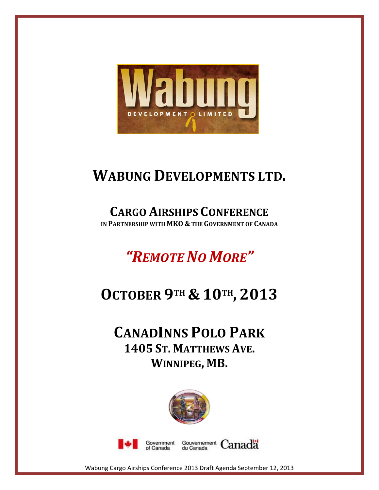

## **WABUNG DEVELOPMENTS LTD.**

## **CARGO AIRSHIPS CONFERENCE**

**IN PARTNERSHIP WITH MKO & THE GOVERNMENT OF CANADA**

# *"REMOTE NO MORE"*

# **OCTOBER 9TH & 10TH , 2013**

### **CANADINNS POLO PARK 1405 ST. MATTHEWS AVE. WINNIPEG, MB.**







Wabung Cargo Airships Conference 2013 Draft Agenda September 12, 2013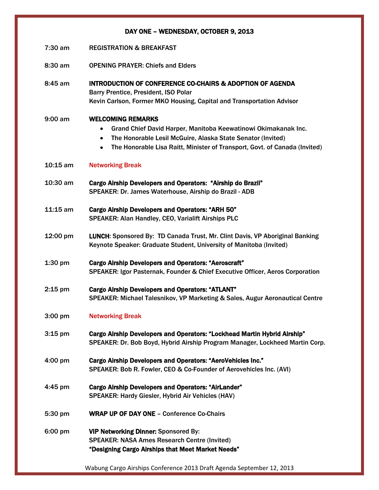### DAY ONE – WEDNESDAY, OCTOBER 9, 2013

- 7:30 am REGISTRATION & BREAKFAST
- 8:30 am OPENING PRAYER: Chiefs and Elders

8:45 am INTRODUCTION OF CONFERENCE CO-CHAIRS & ADOPTION OF AGENDA Barry Prentice, President, ISO Polar Kevin Carlson, Former MKO Housing, Capital and Transportation Advisor

9:00 am WELCOMING REMARKS

- Grand Chief David Harper, Manitoba Keewatinowi Okimakanak Inc.  $\bullet$
- The Honorable Lesil McGuire, Alaska State Senator (Invited)
- The Honorable Lisa Raitt, Minister of Transport, Govt. of Canada (Invited)  $\bullet$

#### 10:15 am Networking Break

- 10:30 am Cargo Airship Developers and Operators: "Airship do Brazil" SPEAKER: Dr. James Waterhouse, Airship do Brazil - ADB
- 11:15 am Cargo Airship Developers and Operators: "ARH 50" SPEAKER: Alan Handley, CEO, Varialift Airships PLC
- 12:00 pm LUNCH: Sponsored By: TD Canada Trust, Mr. Clint Davis, VP Aboriginal Banking Keynote Speaker: Graduate Student, University of Manitoba (Invited)
- 1:30 pm Cargo Airship Developers and Operators: "Aeroscraft" SPEAKER: Igor Pasternak, Founder & Chief Executive Officer, Aeros Corporation
- 2:15 pm Cargo Airship Developers and Operators: "ATLANT" SPEAKER: Michael Talesnikov, VP Marketing & Sales, Augur Aeronautical Centre
- 3:00 pm Networking Break
- 3:15 pm Cargo Airship Developers and Operators: "Lockhead Martin Hybrid Airship" SPEAKER: Dr. Bob Boyd, Hybrid Airship Program Manager, Lockheed Martin Corp.
- 4:00 pm Cargo Airship Developers and Operators: "AeroVehicles Inc." SPEAKER: Bob R. Fowler, CEO & Co-Founder of Aerovehicles Inc. (AVI)
- 4:45 pm Cargo Airship Developers and Operators: "AirLander" SPEAKER: Hardy Giesler, Hybrid Air Vehicles (HAV)
- 5:30 pm WRAP UP OF DAY ONE Conference Co-Chairs
- 6:00 pm VIP Networking Dinner: Sponsored By: SPEAKER: NASA Ames Research Centre (Invited) "Designing Cargo Airships that Meet Market Needs"